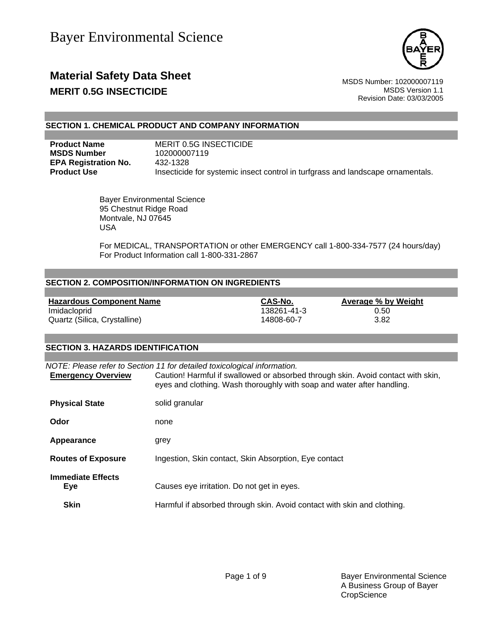

### **Material Safety Data Sheet** MSDS Number: 102000007119 **MERIT 0.5G INSECTICIDE MERIT 0.5G INSECTICIDE**

Revision Date: 03/03/2005

### **SECTION 1. CHEMICAL PRODUCT AND COMPANY INFORMATION**

**MSDS Number** 102000007119 **EPA Registration No.** 432-1328

**Product Name MERIT 0.5G INSECTICIDE Product Use Insecticide for systemic insect control in turfgrass and landscape ornamentals.** 

> Bayer Environmental Science 95 Chestnut Ridge Road Montvale, NJ 07645 USA

 For MEDICAL, TRANSPORTATION or other EMERGENCY call 1-800-334-7577 (24 hours/day) For Product Information call 1-800-331-2867

### **SECTION 2. COMPOSITION/INFORMATION ON INGREDIENTS**

| <b>Hazardous Component Name</b> | CAS-No.     | Average % by Weight |
|---------------------------------|-------------|---------------------|
| Imidacloprid                    | 138261-41-3 | 0.50                |
| Quartz (Silica, Crystalline)    | 14808-60-7  | 3.82                |

#### **SECTION 3. HAZARDS IDENTIFICATION**

| <b>Emergency Overview</b>       | NOTE: Please refer to Section 11 for detailed toxicological information.<br>Caution! Harmful if swallowed or absorbed through skin. Avoid contact with skin,<br>eyes and clothing. Wash thoroughly with soap and water after handling. |
|---------------------------------|----------------------------------------------------------------------------------------------------------------------------------------------------------------------------------------------------------------------------------------|
| <b>Physical State</b>           | solid granular                                                                                                                                                                                                                         |
| Odor                            | none                                                                                                                                                                                                                                   |
| Appearance                      | grey                                                                                                                                                                                                                                   |
| <b>Routes of Exposure</b>       | Ingestion, Skin contact, Skin Absorption, Eye contact                                                                                                                                                                                  |
| <b>Immediate Effects</b><br>Eye | Causes eye irritation. Do not get in eyes.                                                                                                                                                                                             |
| <b>Skin</b>                     | Harmful if absorbed through skin. Avoid contact with skin and clothing.                                                                                                                                                                |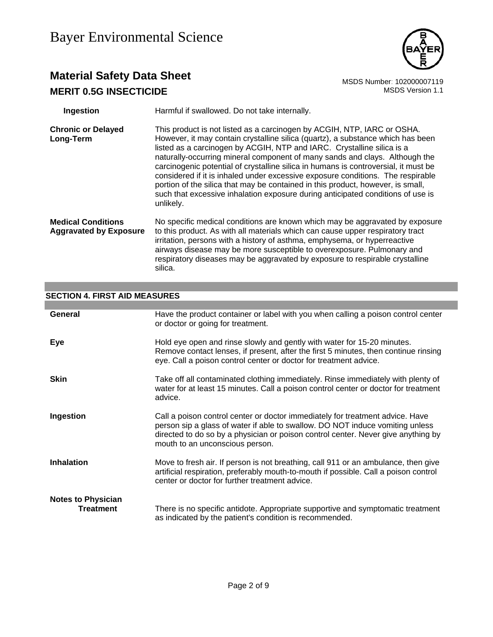

## **Material Safety Data Sheet**<br>MERIT 0.5G INSECTICIDE<br>MERIT 0.5G INSECTICIDE **MERIT 0.5G INSECTICIDE**

| Ingestion                                                  | Harmful if swallowed. Do not take internally.                                                                                                                                                                                                                                                                                                                                                                                                                                                                                                                                                                                                                                    |
|------------------------------------------------------------|----------------------------------------------------------------------------------------------------------------------------------------------------------------------------------------------------------------------------------------------------------------------------------------------------------------------------------------------------------------------------------------------------------------------------------------------------------------------------------------------------------------------------------------------------------------------------------------------------------------------------------------------------------------------------------|
| <b>Chronic or Delayed</b><br>Long-Term                     | This product is not listed as a carcinogen by ACGIH, NTP, IARC or OSHA.<br>However, it may contain crystalline silica (quartz), a substance which has been<br>listed as a carcinogen by ACGIH, NTP and IARC. Crystalline silica is a<br>naturally-occurring mineral component of many sands and clays. Although the<br>carcinogenic potential of crystalline silica in humans is controversial, it must be<br>considered if it is inhaled under excessive exposure conditions. The respirable<br>portion of the silica that may be contained in this product, however, is small,<br>such that excessive inhalation exposure during anticipated conditions of use is<br>unlikely. |
| <b>Medical Conditions</b><br><b>Aggravated by Exposure</b> | No specific medical conditions are known which may be aggravated by exposure<br>to this product. As with all materials which can cause upper respiratory tract<br>irritation, persons with a history of asthma, emphysema, or hyperreactive<br>airways disease may be more susceptible to overexposure. Pulmonary and<br>respiratory diseases may be aggravated by exposure to respirable crystalline<br>silica.                                                                                                                                                                                                                                                                 |

# **SECTION 4. FIRST AID MEASURES**

| General                                       | Have the product container or label with you when calling a poison control center<br>or doctor or going for treatment.                                                                                                                                                                 |
|-----------------------------------------------|----------------------------------------------------------------------------------------------------------------------------------------------------------------------------------------------------------------------------------------------------------------------------------------|
| <b>Eye</b>                                    | Hold eye open and rinse slowly and gently with water for 15-20 minutes.<br>Remove contact lenses, if present, after the first 5 minutes, then continue rinsing<br>eye. Call a poison control center or doctor for treatment advice.                                                    |
| <b>Skin</b>                                   | Take off all contaminated clothing immediately. Rinse immediately with plenty of<br>water for at least 15 minutes. Call a poison control center or doctor for treatment<br>advice.                                                                                                     |
| Ingestion                                     | Call a poison control center or doctor immediately for treatment advice. Have<br>person sip a glass of water if able to swallow. DO NOT induce vomiting unless<br>directed to do so by a physician or poison control center. Never give anything by<br>mouth to an unconscious person. |
| <b>Inhalation</b>                             | Move to fresh air. If person is not breathing, call 911 or an ambulance, then give<br>artificial respiration, preferably mouth-to-mouth if possible. Call a poison control<br>center or doctor for further treatment advice.                                                           |
| <b>Notes to Physician</b><br><b>Treatment</b> | There is no specific antidote. Appropriate supportive and symptomatic treatment<br>as indicated by the patient's condition is recommended.                                                                                                                                             |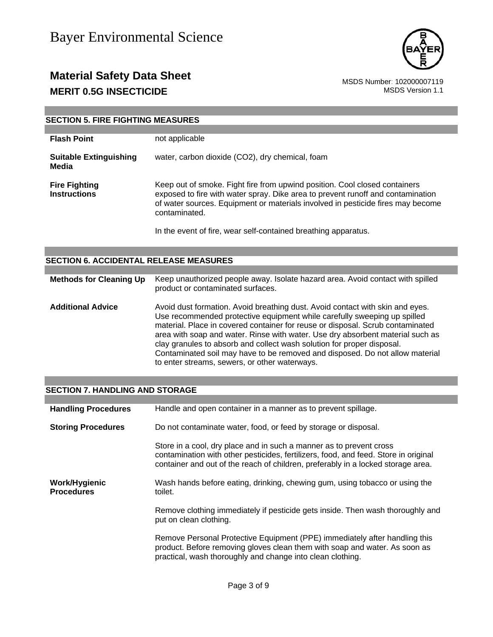

### **Material Safety Data Sheet**<br>MSDS Number: 102000007119<br>MSDS Version 1.1 **MERIT 0.5G INSECTICIDE**

a sa kacamatan ing Kabupatèn Kabupatèn Kabupatèn Kabupatèn Kabupatèn Kabupatèn Kabupatèn Kabupatèn Kabupatèn K

| <b>SECTION 5. FIRE FIGHTING MEASURES</b>    |                                                                                                                                                                                                                                                                   |  |  |
|---------------------------------------------|-------------------------------------------------------------------------------------------------------------------------------------------------------------------------------------------------------------------------------------------------------------------|--|--|
|                                             |                                                                                                                                                                                                                                                                   |  |  |
| <b>Flash Point</b>                          | not applicable                                                                                                                                                                                                                                                    |  |  |
| <b>Suitable Extinguishing</b><br>Media      | water, carbon dioxide (CO2), dry chemical, foam                                                                                                                                                                                                                   |  |  |
| <b>Fire Fighting</b><br><b>Instructions</b> | Keep out of smoke. Fight fire from upwind position. Cool closed containers<br>exposed to fire with water spray. Dike area to prevent runoff and contamination<br>of water sources. Equipment or materials involved in pesticide fires may become<br>contaminated. |  |  |
|                                             | In the event of fire, wear self-contained breathing apparatus.                                                                                                                                                                                                    |  |  |

| <b>SECTION 6. ACCIDENTAL RELEASE MEASURES</b> |                                                                                                                                                                                                                                                                                                                                                                                                                                                                                                                                          |
|-----------------------------------------------|------------------------------------------------------------------------------------------------------------------------------------------------------------------------------------------------------------------------------------------------------------------------------------------------------------------------------------------------------------------------------------------------------------------------------------------------------------------------------------------------------------------------------------------|
|                                               |                                                                                                                                                                                                                                                                                                                                                                                                                                                                                                                                          |
| <b>Methods for Cleaning Up</b>                | Keep unauthorized people away. Isolate hazard area. Avoid contact with spilled<br>product or contaminated surfaces.                                                                                                                                                                                                                                                                                                                                                                                                                      |
| <b>Additional Advice</b>                      | Avoid dust formation. Avoid breathing dust. Avoid contact with skin and eyes.<br>Use recommended protective equipment while carefully sweeping up spilled<br>material. Place in covered container for reuse or disposal. Scrub contaminated<br>area with soap and water. Rinse with water. Use dry absorbent material such as<br>clay granules to absorb and collect wash solution for proper disposal.<br>Contaminated soil may have to be removed and disposed. Do not allow material<br>to enter streams, sewers, or other waterways. |

### **SECTION 7. HANDLING AND STORAGE**

| <b>Handling Procedures</b>         | Handle and open container in a manner as to prevent spillage.                                                                                                                                                                                  |  |  |
|------------------------------------|------------------------------------------------------------------------------------------------------------------------------------------------------------------------------------------------------------------------------------------------|--|--|
| <b>Storing Procedures</b>          | Do not contaminate water, food, or feed by storage or disposal.                                                                                                                                                                                |  |  |
|                                    | Store in a cool, dry place and in such a manner as to prevent cross<br>contamination with other pesticides, fertilizers, food, and feed. Store in original<br>container and out of the reach of children, preferably in a locked storage area. |  |  |
| Work/Hygienic<br><b>Procedures</b> | Wash hands before eating, drinking, chewing gum, using tobacco or using the<br>toilet.                                                                                                                                                         |  |  |
|                                    | Remove clothing immediately if pesticide gets inside. Then wash thoroughly and<br>put on clean clothing.                                                                                                                                       |  |  |
|                                    | Remove Personal Protective Equipment (PPE) immediately after handling this<br>product. Before removing gloves clean them with soap and water. As soon as<br>practical, wash thoroughly and change into clean clothing.                         |  |  |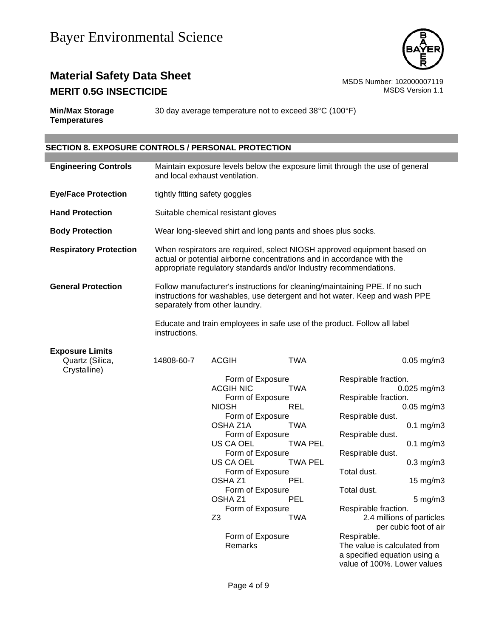

### **Material Safety Data Sheet**<br>MSDS Number: 102000007119<br>MSDS Version 1.1 **MERIT 0.5G INSECTICIDE**

**Min/Max Storage Temperatures** 30 day average temperature not to exceed 38°C (100°F)

### **SECTION 8. EXPOSURE CONTROLS / PERSONAL PROTECTION**

| <b>Engineering Controls</b>                               | Maintain exposure levels below the exposure limit through the use of general<br>and local exhaust ventilation.                                                                                                         |                                                                                                                                                                 |                                                                                                                                                                                                                                                                                                                 |                                                                                                                                                                                                                                                                                                                                                                                                                                                                                    |  |
|-----------------------------------------------------------|------------------------------------------------------------------------------------------------------------------------------------------------------------------------------------------------------------------------|-----------------------------------------------------------------------------------------------------------------------------------------------------------------|-----------------------------------------------------------------------------------------------------------------------------------------------------------------------------------------------------------------------------------------------------------------------------------------------------------------|------------------------------------------------------------------------------------------------------------------------------------------------------------------------------------------------------------------------------------------------------------------------------------------------------------------------------------------------------------------------------------------------------------------------------------------------------------------------------------|--|
| <b>Eye/Face Protection</b>                                |                                                                                                                                                                                                                        | tightly fitting safety goggles                                                                                                                                  |                                                                                                                                                                                                                                                                                                                 |                                                                                                                                                                                                                                                                                                                                                                                                                                                                                    |  |
| <b>Hand Protection</b>                                    | Suitable chemical resistant gloves                                                                                                                                                                                     |                                                                                                                                                                 |                                                                                                                                                                                                                                                                                                                 |                                                                                                                                                                                                                                                                                                                                                                                                                                                                                    |  |
| <b>Body Protection</b>                                    |                                                                                                                                                                                                                        |                                                                                                                                                                 | Wear long-sleeved shirt and long pants and shoes plus socks.                                                                                                                                                                                                                                                    |                                                                                                                                                                                                                                                                                                                                                                                                                                                                                    |  |
| <b>Respiratory Protection</b>                             | When respirators are required, select NIOSH approved equipment based on<br>actual or potential airborne concentrations and in accordance with the<br>appropriate regulatory standards and/or Industry recommendations. |                                                                                                                                                                 |                                                                                                                                                                                                                                                                                                                 |                                                                                                                                                                                                                                                                                                                                                                                                                                                                                    |  |
| <b>General Protection</b>                                 | Follow manufacturer's instructions for cleaning/maintaining PPE. If no such<br>instructions for washables, use detergent and hot water. Keep and wash PPE<br>separately from other laundry.                            |                                                                                                                                                                 |                                                                                                                                                                                                                                                                                                                 |                                                                                                                                                                                                                                                                                                                                                                                                                                                                                    |  |
|                                                           | instructions.                                                                                                                                                                                                          |                                                                                                                                                                 |                                                                                                                                                                                                                                                                                                                 | Educate and train employees in safe use of the product. Follow all label                                                                                                                                                                                                                                                                                                                                                                                                           |  |
| <b>Exposure Limits</b><br>Quartz (Silica,<br>Crystalline) | 14808-60-7                                                                                                                                                                                                             | <b>ACGIH</b><br><b>ACGIH NIC</b><br><b>NIOSH</b><br>OSHA Z1A<br>US CA OEL<br>US CA OEL<br>OSHA <sub>Z1</sub><br>OSHA <sub>Z1</sub><br>Z <sub>3</sub><br>Remarks | <b>TWA</b><br>Form of Exposure<br><b>TWA</b><br>Form of Exposure<br>REL<br>Form of Exposure<br><b>TWA</b><br>Form of Exposure<br><b>TWA PEL</b><br>Form of Exposure<br><b>TWA PEL</b><br>Form of Exposure<br><b>PEL</b><br>Form of Exposure<br><b>PEL</b><br>Form of Exposure<br><b>TWA</b><br>Form of Exposure | $0.05$ mg/m $3$<br>Respirable fraction.<br>0.025 mg/m3<br>Respirable fraction.<br>$0.05$ mg/m $3$<br>Respirable dust.<br>$0.1$ mg/m $3$<br>Respirable dust.<br>$0.1$ mg/m $3$<br>Respirable dust.<br>$0.3$ mg/m $3$<br>Total dust.<br>$15 \text{ mg/m}$<br>Total dust.<br>$5$ mg/m $3$<br>Respirable fraction.<br>2.4 millions of particles<br>per cubic foot of air<br>Respirable.<br>The value is calculated from<br>a specified equation using a<br>value of 100%. Lower values |  |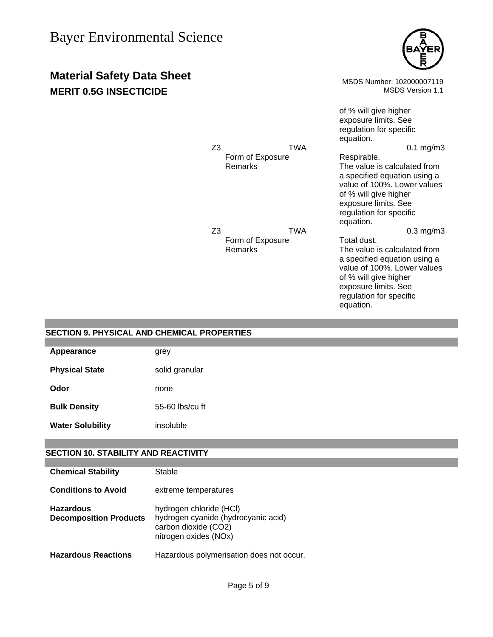

**Material Safety Data Sheet** MSDS Number: 102000007119 **MERIT 0.5G INSECTICIDE MERIT 0.5G INSECTICIDE** of % will give higher exposure limits. See regulation for specific equation. Z3 TWA 0.1 mg/m3 Form of Exposure Respirable. Remarks The value is calculated from a specified equation using a value of 100%. Lower values of % will give higher exposure limits. See regulation for specific equation. Z3 TWA 0.3 mg/m3 Form of Exposure Total dust.<br>
Remarks The value i The value is calculated from a specified equation using a value of 100%. Lower values of % will give higher exposure limits. See regulation for specific equation.

| <b>SECTION 9. PHYSICAL AND CHEMICAL PROPERTIES</b> |                 |  |  |
|----------------------------------------------------|-----------------|--|--|
|                                                    |                 |  |  |
| Appearance                                         | grey            |  |  |
| <b>Physical State</b>                              | solid granular  |  |  |
| Odor                                               | none            |  |  |
| <b>Bulk Density</b>                                | 55-60 lbs/cu ft |  |  |
| <b>Water Solubility</b>                            | insoluble       |  |  |
|                                                    |                 |  |  |

### **SECTION 10. STABILITY AND REACTIVITY**

| <b>Chemical Stability</b>                         | Stable                                                                                                          |
|---------------------------------------------------|-----------------------------------------------------------------------------------------------------------------|
| <b>Conditions to Avoid</b>                        | extreme temperatures                                                                                            |
| <b>Hazardous</b><br><b>Decomposition Products</b> | hydrogen chloride (HCI)<br>hydrogen cyanide (hydrocyanic acid)<br>carbon dioxide (CO2)<br>nitrogen oxides (NOx) |
| <b>Hazardous Reactions</b>                        | Hazardous polymerisation does not occur.                                                                        |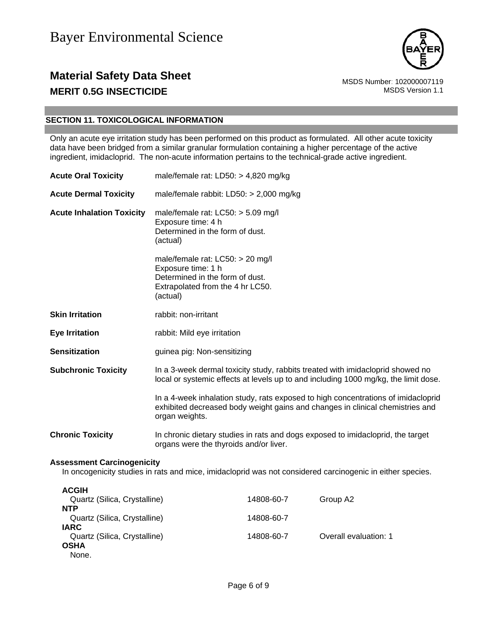

### **Material Safety Data Sheet** MSDS Number: 102000007119 **MERIT 0.5G INSECTICIDE MERIT 0.5G INSECTICIDE**

### **SECTION 11. TOXICOLOGICAL INFORMATION**

Only an acute eye irritation study has been performed on this product as formulated. All other acute toxicity data have been bridged from a similar granular formulation containing a higher percentage of the active ingredient, imidacloprid. The non-acute information pertains to the technical-grade active ingredient.

| <b>Acute Oral Toxicity</b>                                                                                                                     | male/female rat: $LD50: > 4,820$ mg/kg                                                                                                                                               |          |  |  |  |
|------------------------------------------------------------------------------------------------------------------------------------------------|--------------------------------------------------------------------------------------------------------------------------------------------------------------------------------------|----------|--|--|--|
| <b>Acute Dermal Toxicity</b>                                                                                                                   | male/female rabbit: LD50: > 2,000 mg/kg                                                                                                                                              |          |  |  |  |
| <b>Acute Inhalation Toxicity</b>                                                                                                               | male/female rat: LC50: > 5.09 mg/l<br>Exposure time: 4 h<br>Determined in the form of dust.<br>(actual)                                                                              |          |  |  |  |
|                                                                                                                                                | male/female rat: LC50: > 20 mg/l<br>Exposure time: 1 h<br>Determined in the form of dust.<br>Extrapolated from the 4 hr LC50.<br>(actual)                                            |          |  |  |  |
| <b>Skin Irritation</b>                                                                                                                         | rabbit: non-irritant                                                                                                                                                                 |          |  |  |  |
| <b>Eye Irritation</b>                                                                                                                          | rabbit: Mild eye irritation                                                                                                                                                          |          |  |  |  |
| <b>Sensitization</b>                                                                                                                           | guinea pig: Non-sensitizing                                                                                                                                                          |          |  |  |  |
| <b>Subchronic Toxicity</b>                                                                                                                     | In a 3-week dermal toxicity study, rabbits treated with imidacloprid showed no<br>local or systemic effects at levels up to and including 1000 mg/kg, the limit dose.                |          |  |  |  |
|                                                                                                                                                | In a 4-week inhalation study, rats exposed to high concentrations of imidacloprid<br>exhibited decreased body weight gains and changes in clinical chemistries and<br>organ weights. |          |  |  |  |
| <b>Chronic Toxicity</b>                                                                                                                        | In chronic dietary studies in rats and dogs exposed to imidacloprid, the target<br>organs were the thyroids and/or liver.                                                            |          |  |  |  |
| <b>Assessment Carcinogenicity</b><br>In oncogenicity studies in rats and mice, imidacloprid was not considered carcinogenic in either species. |                                                                                                                                                                                      |          |  |  |  |
| <b>ACGIH</b><br>Quartz (Silica, Crystalline)<br>NITD                                                                                           | 14808-60-7                                                                                                                                                                           | Group A2 |  |  |  |

| Quartz (Silica, Crystalline) | 14808-60-7 | Group A2              |
|------------------------------|------------|-----------------------|
| <b>NTP</b>                   |            |                       |
| Quartz (Silica, Crystalline) | 14808-60-7 |                       |
| <b>IARC</b>                  |            |                       |
| Quartz (Silica, Crystalline) | 14808-60-7 | Overall evaluation: 1 |
| <b>OSHA</b>                  |            |                       |
| None.                        |            |                       |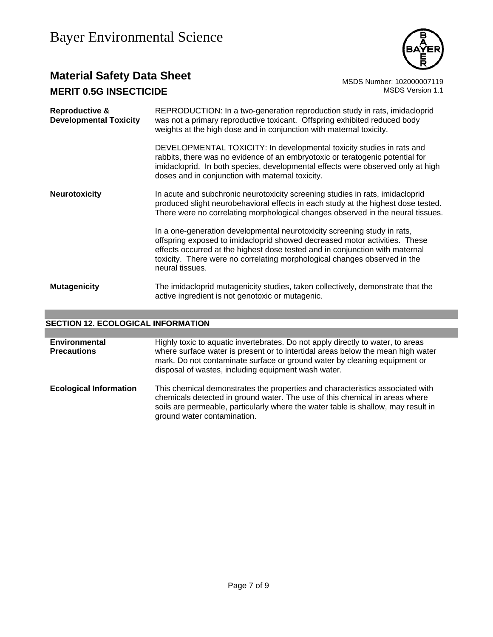

### **Material Safety Data Sheet**<br>MERIT 0.5G INSECTICIDE<br>MERIT 0.5G INSECTICIDE **MERIT 0.5G INSECTICIDE**

| Reproductive &<br><b>Developmental Toxicity</b> | REPRODUCTION: In a two-generation reproduction study in rats, imidacloprid<br>was not a primary reproductive toxicant. Offspring exhibited reduced body<br>weights at the high dose and in conjunction with maternal toxicity.                                                                                                         |  |  |
|-------------------------------------------------|----------------------------------------------------------------------------------------------------------------------------------------------------------------------------------------------------------------------------------------------------------------------------------------------------------------------------------------|--|--|
|                                                 | DEVELOPMENTAL TOXICITY: In developmental toxicity studies in rats and<br>rabbits, there was no evidence of an embryotoxic or teratogenic potential for<br>imidacloprid. In both species, developmental effects were observed only at high<br>doses and in conjunction with maternal toxicity.                                          |  |  |
| <b>Neurotoxicity</b>                            | In acute and subchronic neurotoxicity screening studies in rats, imidacloprid<br>produced slight neurobehavioral effects in each study at the highest dose tested.<br>There were no correlating morphological changes observed in the neural tissues.                                                                                  |  |  |
|                                                 | In a one-generation developmental neurotoxicity screening study in rats,<br>offspring exposed to imidacloprid showed decreased motor activities. These<br>effects occurred at the highest dose tested and in conjunction with maternal<br>toxicity. There were no correlating morphological changes observed in the<br>neural tissues. |  |  |
| <b>Mutagenicity</b>                             | The imidacloprid mutagenicity studies, taken collectively, demonstrate that the<br>active ingredient is not genotoxic or mutagenic.                                                                                                                                                                                                    |  |  |

### **SECTION 12. ECOLOGICAL INFORMATION**

| <b>Environmental</b><br><b>Precautions</b> | Highly toxic to aquatic invertebrates. Do not apply directly to water, to areas<br>where surface water is present or to intertidal areas below the mean high water<br>mark. Do not contaminate surface or ground water by cleaning equipment or<br>disposal of wastes, including equipment wash water. |
|--------------------------------------------|--------------------------------------------------------------------------------------------------------------------------------------------------------------------------------------------------------------------------------------------------------------------------------------------------------|
| <b>Ecological Information</b>              | This chemical demonstrates the properties and characteristics associated with<br>chemicals detected in ground water. The use of this chemical in areas where<br>soils are permeable, particularly where the water table is shallow, may result in<br>ground water contamination.                       |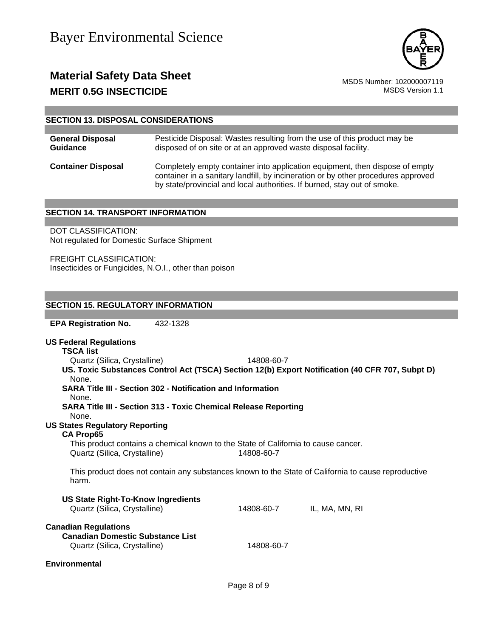

### **Material Safety Data Sheet**<br>MSDS Number: 102000007119<br>MSDS Version 1.1 **MERIT 0.5G INSECTICIDE**

#### **SECTION 13. DISPOSAL CONSIDERATIONS**

| <b>General Disposal</b>   | Pesticide Disposal: Wastes resulting from the use of this product may be                                                                                                                                                                      |
|---------------------------|-----------------------------------------------------------------------------------------------------------------------------------------------------------------------------------------------------------------------------------------------|
| Guidance                  | disposed of on site or at an approved waste disposal facility.                                                                                                                                                                                |
| <b>Container Disposal</b> | Completely empty container into application equipment, then dispose of empty<br>container in a sanitary landfill, by incineration or by other procedures approved<br>by state/provincial and local authorities. If burned, stay out of smoke. |

#### **SECTION 14. TRANSPORT INFORMATION**

DOT CLASSIFICATION: Not regulated for Domestic Surface Shipment

FREIGHT CLASSIFICATION: Insecticides or Fungicides, N.O.I., other than poison

#### **SECTION 15. REGULATORY INFORMATION**

**EPA Registration No.** 432-1328

| <b>US Federal Regulations</b><br><b>TSCA list</b>                                                            |            |                |  |  |  |
|--------------------------------------------------------------------------------------------------------------|------------|----------------|--|--|--|
| Quartz (Silica, Crystalline)                                                                                 | 14808-60-7 |                |  |  |  |
| US. Toxic Substances Control Act (TSCA) Section 12(b) Export Notification (40 CFR 707, Subpt D)              |            |                |  |  |  |
| None.                                                                                                        |            |                |  |  |  |
| <b>SARA Title III - Section 302 - Notification and Information</b>                                           |            |                |  |  |  |
| None.                                                                                                        |            |                |  |  |  |
| <b>SARA Title III - Section 313 - Toxic Chemical Release Reporting</b><br>None.                              |            |                |  |  |  |
| <b>US States Regulatory Reporting</b>                                                                        |            |                |  |  |  |
| <b>CA Prop65</b>                                                                                             |            |                |  |  |  |
| This product contains a chemical known to the State of California to cause cancer.                           |            |                |  |  |  |
| Quartz (Silica, Crystalline)                                                                                 | 14808-60-7 |                |  |  |  |
| This product does not contain any substances known to the State of California to cause reproductive<br>harm. |            |                |  |  |  |
| <b>US State Right-To-Know Ingredients</b>                                                                    |            |                |  |  |  |
| Quartz (Silica, Crystalline)                                                                                 | 14808-60-7 | IL, MA, MN, RI |  |  |  |
| <b>Canadian Regulations</b>                                                                                  |            |                |  |  |  |
| <b>Canadian Domestic Substance List</b>                                                                      |            |                |  |  |  |
| Quartz (Silica, Crystalline)                                                                                 | 14808-60-7 |                |  |  |  |
| <b>Environmental</b>                                                                                         |            |                |  |  |  |